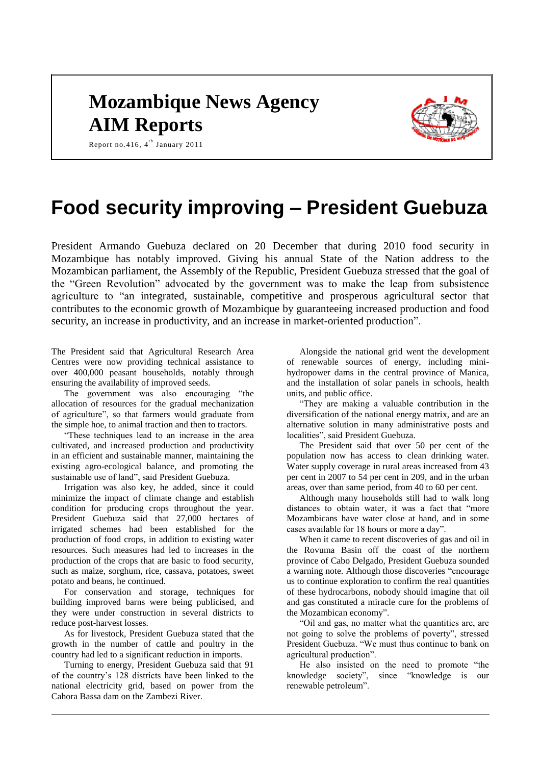## **Mozambique News Agency AIM Reports**



Report no.416, 4<sup>th</sup> January 2011

# **Food security improving – President Guebuza**

President Armando Guebuza declared on 20 December that during 2010 food security in Mozambique has notably improved. Giving his annual State of the Nation address to the Mozambican parliament, the Assembly of the Republic, President Guebuza stressed that the goal of the "Green Revolution" advocated by the government was to make the leap from subsistence agriculture to "an integrated, sustainable, competitive and prosperous agricultural sector that contributes to the economic growth of Mozambique by guaranteeing increased production and food security, an increase in productivity, and an increase in market-oriented production".

The President said that Agricultural Research Area Centres were now providing technical assistance to over 400,000 peasant households, notably through ensuring the availability of improved seeds.

The government was also encouraging "the allocation of resources for the gradual mechanization of agriculture", so that farmers would graduate from the simple hoe, to animal traction and then to tractors.

"These techniques lead to an increase in the area cultivated, and increased production and productivity in an efficient and sustainable manner, maintaining the existing agro-ecological balance, and promoting the sustainable use of land", said President Guebuza.

Irrigation was also key, he added, since it could minimize the impact of climate change and establish condition for producing crops throughout the year. President Guebuza said that 27,000 hectares of irrigated schemes had been established for the production of food crops, in addition to existing water resources. Such measures had led to increases in the production of the crops that are basic to food security, such as maize, sorghum, rice, cassava, potatoes, sweet potato and beans, he continued.

For conservation and storage, techniques for building improved barns were being publicised, and they were under construction in several districts to reduce post-harvest losses.

As for livestock, President Guebuza stated that the growth in the number of cattle and poultry in the country had led to a significant reduction in imports.

Turning to energy, President Guebuza said that 91 of the country's 128 districts have been linked to the national electricity grid, based on power from the Cahora Bassa dam on the Zambezi River.

Alongside the national grid went the development of renewable sources of energy, including minihydropower dams in the central province of Manica, and the installation of solar panels in schools, health units, and public office.

"They are making a valuable contribution in the diversification of the national energy matrix, and are an alternative solution in many administrative posts and localities", said President Guebuza.

The President said that over 50 per cent of the population now has access to clean drinking water. Water supply coverage in rural areas increased from 43 per cent in 2007 to 54 per cent in 209, and in the urban areas, over than same period, from 40 to 60 per cent.

Although many households still had to walk long distances to obtain water, it was a fact that "more Mozambicans have water close at hand, and in some cases available for 18 hours or more a day".

When it came to recent discoveries of gas and oil in the Rovuma Basin off the coast of the northern province of Cabo Delgado, President Guebuza sounded a warning note. Although those discoveries "encourage us to continue exploration to confirm the real quantities of these hydrocarbons, nobody should imagine that oil and gas constituted a miracle cure for the problems of the Mozambican economy".

"Oil and gas, no matter what the quantities are, are not going to solve the problems of poverty", stressed President Guebuza. "We must thus continue to bank on agricultural production".

He also insisted on the need to promote "the knowledge society", since "knowledge is our renewable petroleum".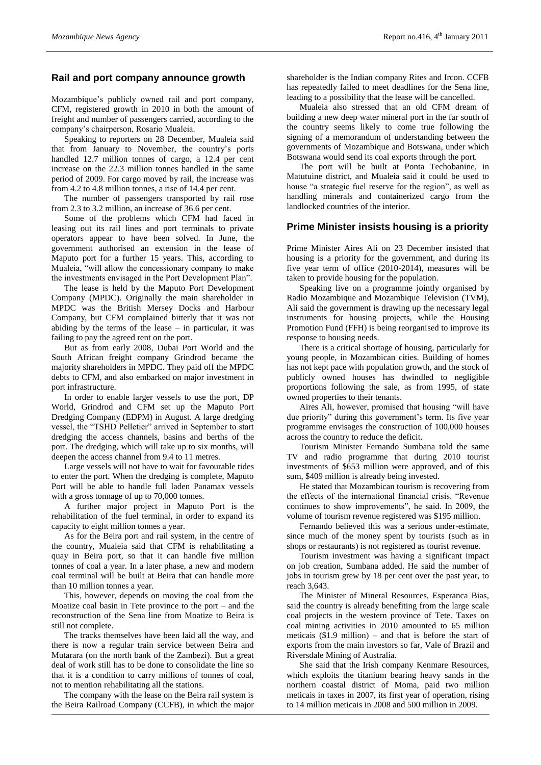#### **Rail and port company announce growth**

Mozambique's publicly owned rail and port company, CFM, registered growth in 2010 in both the amount of freight and number of passengers carried, according to the company's chairperson, Rosario Mualeia.

Speaking to reporters on 28 December, Mualeia said that from January to November, the country's ports handled 12.7 million tonnes of cargo, a 12.4 per cent increase on the 22.3 million tonnes handled in the same period of 2009. For cargo moved by rail, the increase was from 4.2 to 4.8 million tonnes, a rise of 14.4 per cent.

The number of passengers transported by rail rose from 2.3 to 3.2 million, an increase of 36.6 per cent.

Some of the problems which CFM had faced in leasing out its rail lines and port terminals to private operators appear to have been solved. In June, the government authorised an extension in the lease of Maputo port for a further 15 years. This, according to Mualeia, "will allow the concessionary company to make the investments envisaged in the Port Development Plan".

The lease is held by the Maputo Port Development Company (MPDC). Originally the main shareholder in MPDC was the British Mersey Docks and Harbour Company, but CFM complained bitterly that it was not abiding by the terms of the lease – in particular, it was failing to pay the agreed rent on the port.

But as from early 2008, Dubai Port World and the South African freight company Grindrod became the majority shareholders in MPDC. They paid off the MPDC debts to CFM, and also embarked on major investment in port infrastructure.

In order to enable larger vessels to use the port, DP World, Grindrod and CFM set up the Maputo Port Dredging Company (EDPM) in August. A large dredging vessel, the "TSHD Pelletier" arrived in September to start dredging the access channels, basins and berths of the port. The dredging, which will take up to six months, will deepen the access channel from 9.4 to 11 metres.

Large vessels will not have to wait for favourable tides to enter the port. When the dredging is complete, Maputo Port will be able to handle full laden Panamax vessels with a gross tonnage of up to 70,000 tonnes.

A further major project in Maputo Port is the rehabilitation of the fuel terminal, in order to expand its capacity to eight million tonnes a year.

As for the Beira port and rail system, in the centre of the country, Mualeia said that CFM is rehabilitating a quay in Beira port, so that it can handle five million tonnes of coal a year. In a later phase, a new and modern coal terminal will be built at Beira that can handle more than 10 million tonnes a year.

This, however, depends on moving the coal from the Moatize coal basin in Tete province to the port – and the reconstruction of the Sena line from Moatize to Beira is still not complete.

The tracks themselves have been laid all the way, and there is now a regular train service between Beira and Mutarara (on the north bank of the Zambezi). But a great deal of work still has to be done to consolidate the line so that it is a condition to carry millions of tonnes of coal, not to mention rehabilitating all the stations.

The company with the lease on the Beira rail system is the Beira Railroad Company (CCFB), in which the major

shareholder is the Indian company Rites and Ircon. CCFB has repeatedly failed to meet deadlines for the Sena line, leading to a possibility that the lease will be cancelled.

Mualeia also stressed that an old CFM dream of building a new deep water mineral port in the far south of the country seems likely to come true following the signing of a memorandum of understanding between the governments of Mozambique and Botswana, under which Botswana would send its coal exports through the port.

The port will be built at Ponta Techobanine, in Matutuine district, and Mualeia said it could be used to house "a strategic fuel reserve for the region", as well as handling minerals and containerized cargo from the landlocked countries of the interior.

#### **Prime Minister insists housing is a priority**

Prime Minister Aires Ali on 23 December insisted that housing is a priority for the government, and during its five year term of office (2010-2014), measures will be taken to provide housing for the population.

Speaking live on a programme jointly organised by Radio Mozambique and Mozambique Television (TVM), Ali said the government is drawing up the necessary legal instruments for housing projects, while the Housing Promotion Fund (FFH) is being reorganised to improve its response to housing needs.

There is a critical shortage of housing, particularly for young people, in Mozambican cities. Building of homes has not kept pace with population growth, and the stock of publicly owned houses has dwindled to negligible proportions following the sale, as from 1995, of state owned properties to their tenants.

Aires Ali, however, promised that housing "will have due priority" during this government's term. Its five year programme envisages the construction of 100,000 houses across the country to reduce the deficit.

Tourism Minister Fernando Sumbana told the same TV and radio programme that during 2010 tourist investments of \$653 million were approved, and of this sum, \$409 million is already being invested.

He stated that Mozambican tourism is recovering from the effects of the international financial crisis. "Revenue continues to show improvements", he said. In 2009, the volume of tourism revenue registered was \$195 million.

Fernando believed this was a serious under-estimate, since much of the money spent by tourists (such as in shops or restaurants) is not registered as tourist revenue.

Tourism investment was having a significant impact on job creation, Sumbana added. He said the number of jobs in tourism grew by 18 per cent over the past year, to reach 3,643.

The Minister of Mineral Resources, Esperanca Bias, said the country is already benefiting from the large scale coal projects in the western province of Tete. Taxes on coal mining activities in 2010 amounted to 65 million meticais  $(\$1.9$  million) – and that is before the start of exports from the main investors so far, Vale of Brazil and Riversdale Mining of Australia.

She said that the Irish company Kenmare Resources, which exploits the titanium bearing heavy sands in the northern coastal district of Moma, paid two million meticais in taxes in 2007, its first year of operation, rising to 14 million meticais in 2008 and 500 million in 2009.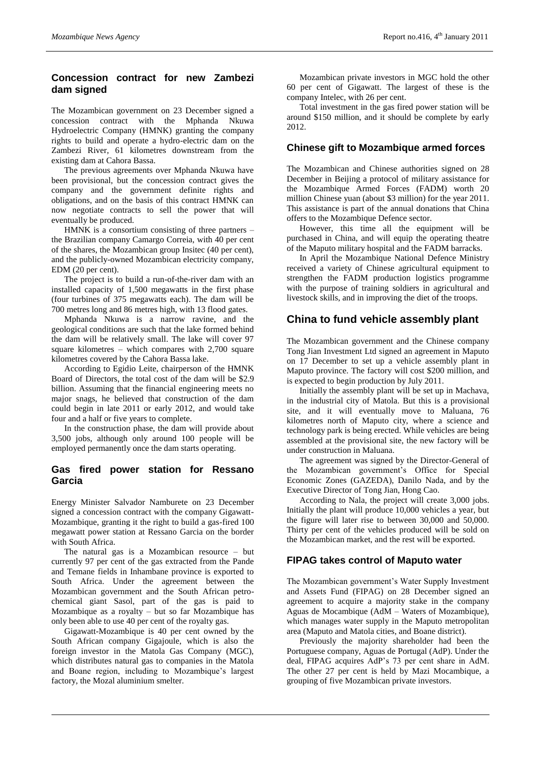## **Concession contract for new Zambezi dam signed**

The Mozambican government on 23 December signed a concession contract with the Mphanda Nkuwa Hydroelectric Company (HMNK) granting the company rights to build and operate a hydro-electric dam on the Zambezi River, 61 kilometres downstream from the existing dam at Cahora Bassa.

The previous agreements over Mphanda Nkuwa have been provisional, but the concession contract gives the company and the government definite rights and obligations, and on the basis of this contract HMNK can now negotiate contracts to sell the power that will eventually be produced.

HMNK is a consortium consisting of three partners – the Brazilian company Camargo Correia, with 40 per cent of the shares, the Mozambican group Insitec (40 per cent), and the publicly-owned Mozambican electricity company, EDM (20 per cent).

The project is to build a run-of-the-river dam with an installed capacity of 1,500 megawatts in the first phase (four turbines of 375 megawatts each). The dam will be 700 metres long and 86 metres high, with 13 flood gates.

Mphanda Nkuwa is a narrow ravine, and the geological conditions are such that the lake formed behind the dam will be relatively small. The lake will cover 97 square kilometres – which compares with 2,700 square kilometres covered by the Cahora Bassa lake.

According to Egidio Leite, chairperson of the HMNK Board of Directors, the total cost of the dam will be \$2.9 billion. Assuming that the financial engineering meets no major snags, he believed that construction of the dam could begin in late 2011 or early 2012, and would take four and a half or five years to complete.

In the construction phase, the dam will provide about 3,500 jobs, although only around 100 people will be employed permanently once the dam starts operating.

## **Gas fired power station for Ressano Garcia**

Energy Minister Salvador Namburete on 23 December signed a concession contract with the company Gigawatt-Mozambique, granting it the right to build a gas-fired 100 megawatt power station at Ressano Garcia on the border with South Africa.

The natural gas is a Mozambican resource – but currently 97 per cent of the gas extracted from the Pande and Temane fields in Inhambane province is exported to South Africa. Under the agreement between the Mozambican government and the South African petrochemical giant Sasol, part of the gas is paid to Mozambique as a royalty – but so far Mozambique has only been able to use 40 per cent of the royalty gas.

Gigawatt-Mozambique is 40 per cent owned by the South African company Gigajoule, which is also the foreign investor in the Matola Gas Company (MGC), which distributes natural gas to companies in the Matola and Boane region, including to Mozambique's largest factory, the Mozal aluminium smelter.

Mozambican private investors in MGC hold the other 60 per cent of Gigawatt. The largest of these is the company Intelec, with 26 per cent.

Total investment in the gas fired power station will be around \$150 million, and it should be complete by early 2012.

#### **Chinese gift to Mozambique armed forces**

The Mozambican and Chinese authorities signed on 28 December in Beijing a protocol of military assistance for the Mozambique Armed Forces (FADM) worth 20 million Chinese yuan (about \$3 million) for the year 2011. This assistance is part of the annual donations that China offers to the Mozambique Defence sector.

However, this time all the equipment will be purchased in China, and will equip the operating theatre of the Maputo military hospital and the FADM barracks.

In April the Mozambique National Defence Ministry received a variety of Chinese agricultural equipment to strengthen the FADM production logistics programme with the purpose of training soldiers in agricultural and livestock skills, and in improving the diet of the troops.

## **China to fund vehicle assembly plant**

The Mozambican government and the Chinese company Tong Jian Investment Ltd signed an agreement in Maputo on 17 December to set up a vehicle assembly plant in Maputo province. The factory will cost \$200 million, and is expected to begin production by July 2011.

Initially the assembly plant will be set up in Machava, in the industrial city of Matola. But this is a provisional site, and it will eventually move to Maluana, 76 kilometres north of Maputo city, where a science and technology park is being erected. While vehicles are being assembled at the provisional site, the new factory will be under construction in Maluana.

The agreement was signed by the Director-General of the Mozambican government's Office for Special Economic Zones (GAZEDA), Danilo Nada, and by the Executive Director of Tong Jian, Hong Cao.

According to Nala, the project will create 3,000 jobs. Initially the plant will produce 10,000 vehicles a year, but the figure will later rise to between 30,000 and 50,000. Thirty per cent of the vehicles produced will be sold on the Mozambican market, and the rest will be exported.

## **FIPAG takes control of Maputo water**

The Mozambican government's Water Supply Investment and Assets Fund (FIPAG) on 28 December signed an agreement to acquire a majority stake in the company Aguas de Mocambique (AdM – Waters of Mozambique), which manages water supply in the Maputo metropolitan area (Maputo and Matola cities, and Boane district).

Previously the majority shareholder had been the Portuguese company, Aguas de Portugal (AdP). Under the deal, FIPAG acquires AdP's 73 per cent share in AdM. The other 27 per cent is held by Mazi Mocambique, a grouping of five Mozambican private investors.